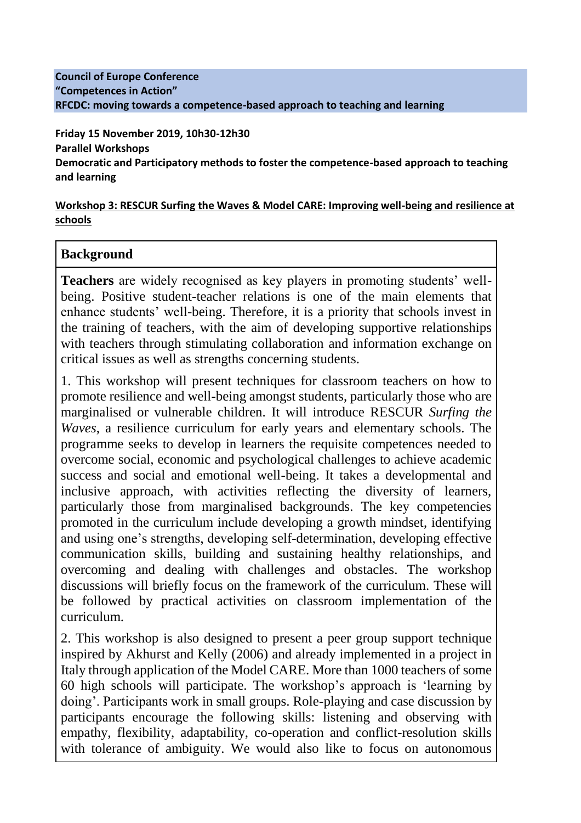#### **Council of Europe Conference "Competences in Action" RFCDC: moving towards a competence-based approach to teaching and learning**

**Friday 15 November 2019, 10h30-12h30 Parallel Workshops Democratic and Participatory methods to foster the competence-based approach to teaching and learning**

### **Workshop 3: RESCUR Surfing the Waves & Model CARE: Improving well-being and resilience at schools**

### **Background**

**Teachers** are widely recognised as key players in promoting students' wellbeing. Positive student-teacher relations is one of the main elements that enhance students' well-being. Therefore, it is a priority that schools invest in the training of teachers, with the aim of developing supportive relationships with teachers through stimulating collaboration and information exchange on critical issues as well as strengths concerning students.

1. This workshop will present techniques for classroom teachers on how to promote resilience and well-being amongst students, particularly those who are marginalised or vulnerable children. It will introduce RESCUR *Surfing the Waves*, a resilience curriculum for early years and elementary schools. The programme seeks to develop in learners the requisite competences needed to overcome social, economic and psychological challenges to achieve academic success and social and emotional well-being. It takes a developmental and inclusive approach, with activities reflecting the diversity of learners, particularly those from marginalised backgrounds. The key competencies promoted in the curriculum include developing a growth mindset, identifying and using one's strengths, developing self-determination, developing effective communication skills, building and sustaining healthy relationships, and overcoming and dealing with challenges and obstacles. The workshop discussions will briefly focus on the framework of the curriculum. These will be followed by practical activities on classroom implementation of the curriculum.

2. This workshop is also designed to present a peer group support technique inspired by Akhurst and Kelly (2006) and already implemented in a project in Italy through application of the Model CARE. More than 1000 teachers of some 60 high schools will participate. The workshop's approach is 'learning by doing'. Participants work in small groups. Role-playing and case discussion by participants encourage the following skills: listening and observing with empathy, flexibility, adaptability, co-operation and conflict-resolution skills with tolerance of ambiguity. We would also like to focus on autonomous